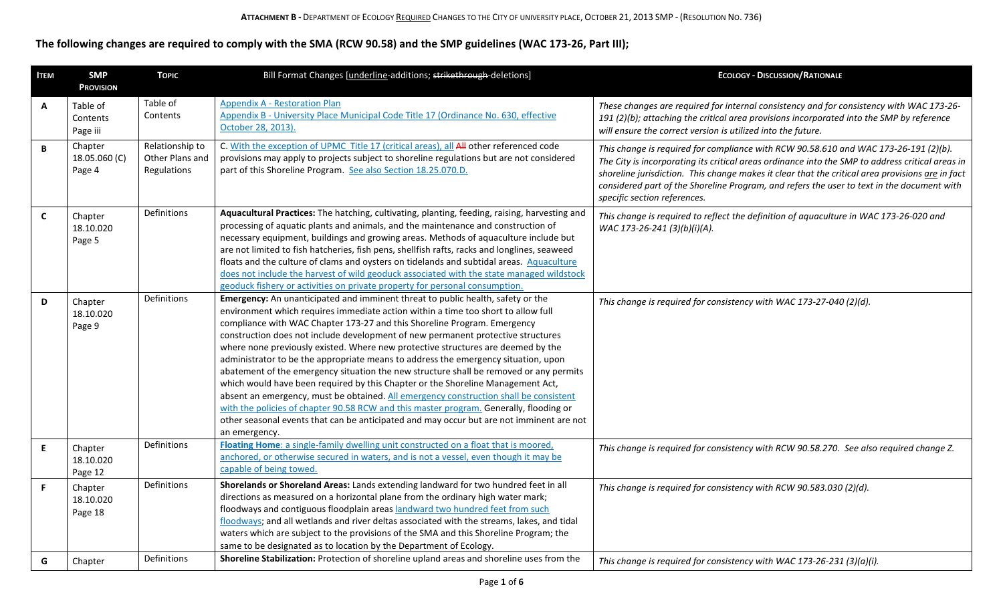## **The following changes are required to comply with the SMA (RCW 90.58) and the SMP guidelines (WAC 173-26, Part III);**

| <b>ITEM</b>  | <b>SMP</b><br><b>PROVISION</b>     | <b>TOPIC</b>                                      | Bill Format Changes [underline-additions; strikethrough-deletions]                                                                                                                                                                                                                                                                                                                                                                                                                                                                                                                                                                                                                                                                                                                                                                                                                                                                                                                          | <b>ECOLOGY - DISCUSSION/RATIONALE</b>                                                                                                                                                                                                                                                                                                                                                                                      |
|--------------|------------------------------------|---------------------------------------------------|---------------------------------------------------------------------------------------------------------------------------------------------------------------------------------------------------------------------------------------------------------------------------------------------------------------------------------------------------------------------------------------------------------------------------------------------------------------------------------------------------------------------------------------------------------------------------------------------------------------------------------------------------------------------------------------------------------------------------------------------------------------------------------------------------------------------------------------------------------------------------------------------------------------------------------------------------------------------------------------------|----------------------------------------------------------------------------------------------------------------------------------------------------------------------------------------------------------------------------------------------------------------------------------------------------------------------------------------------------------------------------------------------------------------------------|
| Α            | Table of<br>Contents<br>Page iii   | Table of<br>Contents                              | <b>Appendix A - Restoration Plan</b><br>Appendix B - University Place Municipal Code Title 17 (Ordinance No. 630, effective<br>October 28, 2013).                                                                                                                                                                                                                                                                                                                                                                                                                                                                                                                                                                                                                                                                                                                                                                                                                                           | These changes are required for internal consistency and for consistency with WAC 173-26-<br>191 (2)(b); attaching the critical area provisions incorporated into the SMP by reference<br>will ensure the correct version is utilized into the future.                                                                                                                                                                      |
| $\, {\bf B}$ | Chapter<br>18.05.060 (C)<br>Page 4 | Relationship to<br>Other Plans and<br>Regulations | C. With the exception of UPMC Title 17 (critical areas), all All other referenced code<br>provisions may apply to projects subject to shoreline regulations but are not considered<br>part of this Shoreline Program. See also Section 18.25.070.D.                                                                                                                                                                                                                                                                                                                                                                                                                                                                                                                                                                                                                                                                                                                                         | This change is required for compliance with RCW 90.58.610 and WAC 173-26-191 (2)(b).<br>The City is incorporating its critical areas ordinance into the SMP to address critical areas in<br>shoreline jurisdiction. This change makes it clear that the critical area provisions are in fact<br>considered part of the Shoreline Program, and refers the user to text in the document with<br>specific section references. |
| C            | Chapter<br>18.10.020<br>Page 5     | Definitions                                       | Aquacultural Practices: The hatching, cultivating, planting, feeding, raising, harvesting and<br>processing of aquatic plants and animals, and the maintenance and construction of<br>necessary equipment, buildings and growing areas. Methods of aquaculture include but<br>are not limited to fish hatcheries, fish pens, shellfish rafts, racks and longlines, seaweed<br>floats and the culture of clams and oysters on tidelands and subtidal areas. Aquaculture<br>does not include the harvest of wild geoduck associated with the state managed wildstock<br>geoduck fishery or activities on private property for personal consumption.                                                                                                                                                                                                                                                                                                                                           | This change is required to reflect the definition of aquaculture in WAC 173-26-020 and<br>WAC 173-26-241 (3)(b)(i)(A).                                                                                                                                                                                                                                                                                                     |
| D            | Chapter<br>18.10.020<br>Page 9     | Definitions                                       | Emergency: An unanticipated and imminent threat to public health, safety or the<br>environment which requires immediate action within a time too short to allow full<br>compliance with WAC Chapter 173-27 and this Shoreline Program. Emergency<br>construction does not include development of new permanent protective structures<br>where none previously existed. Where new protective structures are deemed by the<br>administrator to be the appropriate means to address the emergency situation, upon<br>abatement of the emergency situation the new structure shall be removed or any permits<br>which would have been required by this Chapter or the Shoreline Management Act,<br>absent an emergency, must be obtained. All emergency construction shall be consistent<br>with the policies of chapter 90.58 RCW and this master program. Generally, flooding or<br>other seasonal events that can be anticipated and may occur but are not imminent are not<br>an emergency. | This change is required for consistency with WAC 173-27-040 (2)(d).                                                                                                                                                                                                                                                                                                                                                        |
| E.           | Chapter<br>18.10.020<br>Page 12    | Definitions                                       | Floating Home: a single-family dwelling unit constructed on a float that is moored,<br>anchored, or otherwise secured in waters, and is not a vessel, even though it may be<br>capable of being towed.                                                                                                                                                                                                                                                                                                                                                                                                                                                                                                                                                                                                                                                                                                                                                                                      | This change is required for consistency with RCW 90.58.270. See also required change Z.                                                                                                                                                                                                                                                                                                                                    |
| F.           | Chapter<br>18.10.020<br>Page 18    | Definitions                                       | Shorelands or Shoreland Areas: Lands extending landward for two hundred feet in all<br>directions as measured on a horizontal plane from the ordinary high water mark;<br>floodways and contiguous floodplain areas landward two hundred feet from such<br>floodways; and all wetlands and river deltas associated with the streams, lakes, and tidal<br>waters which are subject to the provisions of the SMA and this Shoreline Program; the<br>same to be designated as to location by the Department of Ecology.                                                                                                                                                                                                                                                                                                                                                                                                                                                                        | This change is required for consistency with RCW 90.583.030 (2)(d).                                                                                                                                                                                                                                                                                                                                                        |
| G            | Chapter                            | Definitions                                       | Shoreline Stabilization: Protection of shoreline upland areas and shoreline uses from the                                                                                                                                                                                                                                                                                                                                                                                                                                                                                                                                                                                                                                                                                                                                                                                                                                                                                                   | This change is required for consistency with WAC 173-26-231 (3)(a)(i).                                                                                                                                                                                                                                                                                                                                                     |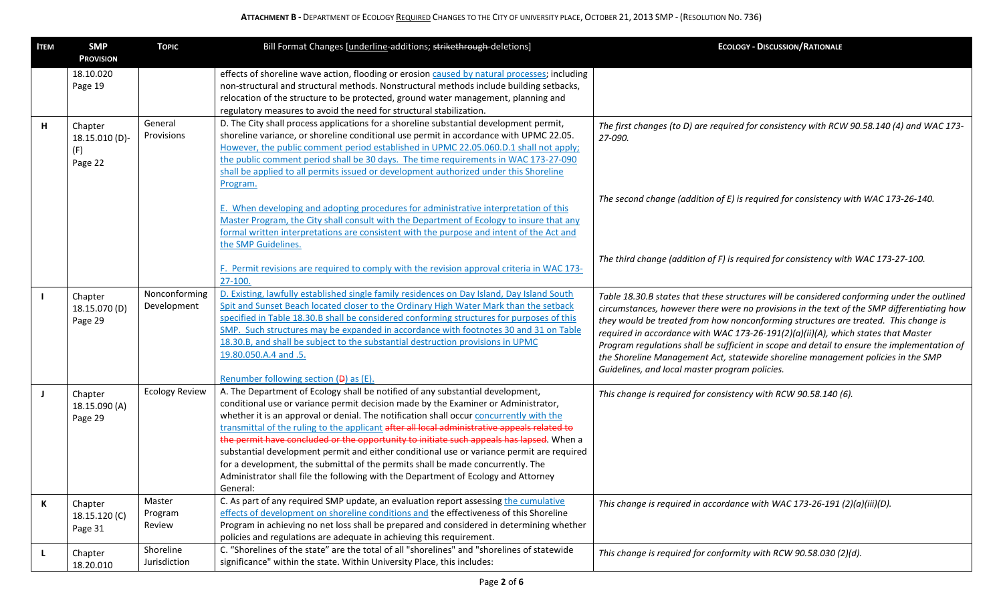| <b>ITEM</b> | <b>SMP</b><br><b>PROVISION</b>              | <b>TOPIC</b>                 | Bill Format Changes [underline-additions; strikethrough-deletions]                                                                                                                                                                                                                                                                                                                                                                                                                                                                                                                                                                                                                                                                            | <b>ECOLOGY - DISCUSSION/RATIONALE</b>                                                                                                                                                                                                                                                                                                                                                                                                                                                                                                                                                                      |
|-------------|---------------------------------------------|------------------------------|-----------------------------------------------------------------------------------------------------------------------------------------------------------------------------------------------------------------------------------------------------------------------------------------------------------------------------------------------------------------------------------------------------------------------------------------------------------------------------------------------------------------------------------------------------------------------------------------------------------------------------------------------------------------------------------------------------------------------------------------------|------------------------------------------------------------------------------------------------------------------------------------------------------------------------------------------------------------------------------------------------------------------------------------------------------------------------------------------------------------------------------------------------------------------------------------------------------------------------------------------------------------------------------------------------------------------------------------------------------------|
|             | 18.10.020<br>Page 19                        |                              | effects of shoreline wave action, flooding or erosion caused by natural processes; including<br>non-structural and structural methods. Nonstructural methods include building setbacks,<br>relocation of the structure to be protected, ground water management, planning and<br>regulatory measures to avoid the need for structural stabilization.                                                                                                                                                                                                                                                                                                                                                                                          |                                                                                                                                                                                                                                                                                                                                                                                                                                                                                                                                                                                                            |
| н           | Chapter<br>18.15.010 (D)-<br>(F)<br>Page 22 | General<br>Provisions        | D. The City shall process applications for a shoreline substantial development permit,<br>shoreline variance, or shoreline conditional use permit in accordance with UPMC 22.05.<br>However, the public comment period established in UPMC 22.05.060.D.1 shall not apply;<br>the public comment period shall be 30 days. The time requirements in WAC 173-27-090<br>shall be applied to all permits issued or development authorized under this Shoreline<br>Program.                                                                                                                                                                                                                                                                         | The first changes (to D) are required for consistency with RCW 90.58.140 (4) and WAC 173-<br>27-090.                                                                                                                                                                                                                                                                                                                                                                                                                                                                                                       |
|             |                                             |                              | E. When developing and adopting procedures for administrative interpretation of this<br>Master Program, the City shall consult with the Department of Ecology to insure that any<br>formal written interpretations are consistent with the purpose and intent of the Act and<br>the SMP Guidelines.                                                                                                                                                                                                                                                                                                                                                                                                                                           | The second change (addition of E) is required for consistency with WAC 173-26-140.                                                                                                                                                                                                                                                                                                                                                                                                                                                                                                                         |
|             |                                             |                              | F. Permit revisions are required to comply with the revision approval criteria in WAC 173-<br>27-100.                                                                                                                                                                                                                                                                                                                                                                                                                                                                                                                                                                                                                                         | The third change (addition of F) is required for consistency with WAC 173-27-100.                                                                                                                                                                                                                                                                                                                                                                                                                                                                                                                          |
|             | Chapter<br>18.15.070 (D)<br>Page 29         | Nonconforming<br>Development | D. Existing, lawfully established single family residences on Day Island, Day Island South<br>Spit and Sunset Beach located closer to the Ordinary High Water Mark than the setback<br>specified in Table 18.30.B shall be considered conforming structures for purposes of this<br>SMP. Such structures may be expanded in accordance with footnotes 30 and 31 on Table<br>18.30.B, and shall be subject to the substantial destruction provisions in UPMC<br>19.80.050.A.4 and .5.<br>Renumber following section (D) as (E).                                                                                                                                                                                                                | Table 18.30.B states that these structures will be considered conforming under the outlined<br>circumstances, however there were no provisions in the text of the SMP differentiating how<br>they would be treated from how nonconforming structures are treated. This change is<br>required in accordance with WAC 173-26-191(2)(a)(ii)(A), which states that Master<br>Program regulations shall be sufficient in scope and detail to ensure the implementation of<br>the Shoreline Management Act, statewide shoreline management policies in the SMP<br>Guidelines, and local master program policies. |
| J.          | Chapter<br>18.15.090 (A)<br>Page 29         | <b>Ecology Review</b>        | A. The Department of Ecology shall be notified of any substantial development,<br>conditional use or variance permit decision made by the Examiner or Administrator,<br>whether it is an approval or denial. The notification shall occur concurrently with the<br>transmittal of the ruling to the applicant after all local administrative appeals related to<br>the permit have concluded or the opportunity to initiate such appeals has lapsed. When a<br>substantial development permit and either conditional use or variance permit are required<br>for a development, the submittal of the permits shall be made concurrently. The<br>Administrator shall file the following with the Department of Ecology and Attorney<br>General: | This change is required for consistency with RCW 90.58.140 (6).                                                                                                                                                                                                                                                                                                                                                                                                                                                                                                                                            |
| К           | Chapter<br>18.15.120 (C)<br>Page 31         | Master<br>Program<br>Review  | C. As part of any required SMP update, an evaluation report assessing the cumulative<br>effects of development on shoreline conditions and the effectiveness of this Shoreline<br>Program in achieving no net loss shall be prepared and considered in determining whether<br>policies and regulations are adequate in achieving this requirement.                                                                                                                                                                                                                                                                                                                                                                                            | This change is required in accordance with WAC 173-26-191 (2)(a)(iii)(D).                                                                                                                                                                                                                                                                                                                                                                                                                                                                                                                                  |
| <b>L</b>    | Chapter<br>18.20.010                        | Shoreline<br>Jurisdiction    | C. "Shorelines of the state" are the total of all "shorelines" and "shorelines of statewide<br>significance" within the state. Within University Place, this includes:                                                                                                                                                                                                                                                                                                                                                                                                                                                                                                                                                                        | This change is required for conformity with RCW 90.58.030 (2)(d).                                                                                                                                                                                                                                                                                                                                                                                                                                                                                                                                          |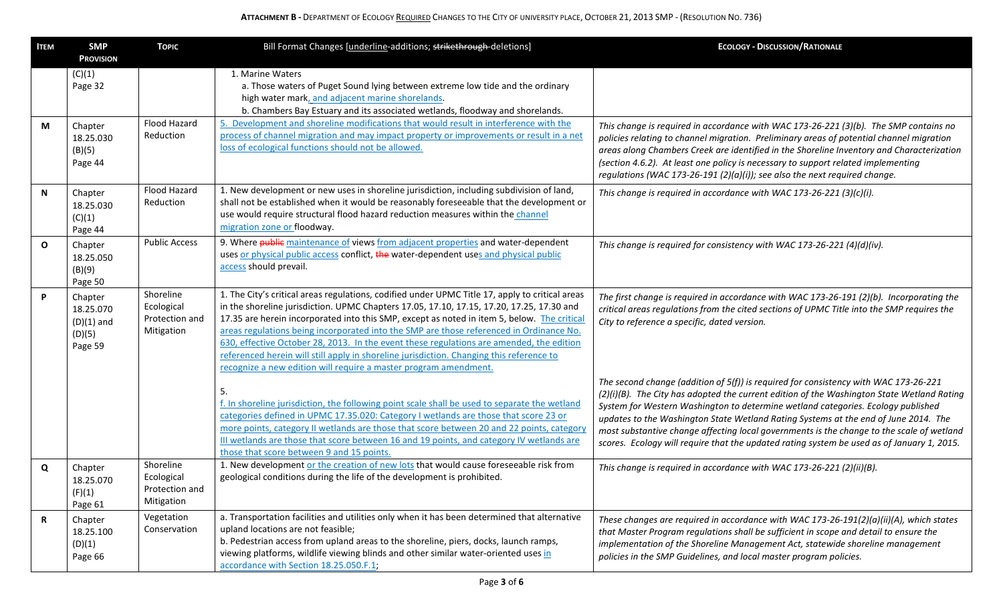| <b>ITEM</b> | <b>SMP</b><br><b>PROVISION</b>                            | <b>TOPIC</b>                                            | Bill Format Changes [underline-additions; strikethrough-deletions]                                                                                                                                                                                                                                                                                                                                                                                                                                                                                                                                                                                 | <b>ECOLOGY - DISCUSSION/RATIONALE</b>                                                                                                                                                                                                                                                                                                                                                                                                                                                                                                                    |
|-------------|-----------------------------------------------------------|---------------------------------------------------------|----------------------------------------------------------------------------------------------------------------------------------------------------------------------------------------------------------------------------------------------------------------------------------------------------------------------------------------------------------------------------------------------------------------------------------------------------------------------------------------------------------------------------------------------------------------------------------------------------------------------------------------------------|----------------------------------------------------------------------------------------------------------------------------------------------------------------------------------------------------------------------------------------------------------------------------------------------------------------------------------------------------------------------------------------------------------------------------------------------------------------------------------------------------------------------------------------------------------|
|             | (C)(1)<br>Page 32                                         |                                                         | 1. Marine Waters<br>a. Those waters of Puget Sound lying between extreme low tide and the ordinary<br>high water mark, and adjacent marine shorelands.<br>b. Chambers Bay Estuary and its associated wetlands, floodway and shorelands.                                                                                                                                                                                                                                                                                                                                                                                                            |                                                                                                                                                                                                                                                                                                                                                                                                                                                                                                                                                          |
| M           | Chapter<br>18.25.030<br>(B)(5)<br>Page 44                 | Flood Hazard<br>Reduction                               | 5. Development and shoreline modifications that would result in interference with the<br>process of channel migration and may impact property or improvements or result in a net<br>loss of ecological functions should not be allowed.                                                                                                                                                                                                                                                                                                                                                                                                            | This change is required in accordance with WAC 173-26-221 (3)(b). The SMP contains no<br>policies relating to channel migration. Preliminary areas of potential channel migration<br>areas along Chambers Creek are identified in the Shoreline Inventory and Characterization<br>(section 4.6.2). At least one policy is necessary to support related implementing<br>regulations (WAC 173-26-191 (2)(a)(i)); see also the next required change.                                                                                                        |
| N           | Chapter<br>18.25.030<br>(C)(1)<br>Page 44                 | Flood Hazard<br>Reduction                               | 1. New development or new uses in shoreline jurisdiction, including subdivision of land,<br>shall not be established when it would be reasonably foreseeable that the development or<br>use would require structural flood hazard reduction measures within the channel<br>migration zone or floodway.                                                                                                                                                                                                                                                                                                                                             | This change is required in accordance with WAC 173-26-221 (3)(c)(i).                                                                                                                                                                                                                                                                                                                                                                                                                                                                                     |
| $\mathbf O$ | Chapter<br>18.25.050<br>(B)(9)<br>Page 50                 | <b>Public Access</b>                                    | 9. Where public maintenance of views from adjacent properties and water-dependent<br>uses or physical public access conflict, the water-dependent uses and physical public<br>access should prevail.                                                                                                                                                                                                                                                                                                                                                                                                                                               | This change is required for consistency with WAC 173-26-221 (4)(d)(iv).                                                                                                                                                                                                                                                                                                                                                                                                                                                                                  |
| P           | Chapter<br>18.25.070<br>$(D)(1)$ and<br>(D)(5)<br>Page 59 | Shoreline<br>Ecological<br>Protection and<br>Mitigation | 1. The City's critical areas regulations, codified under UPMC Title 17, apply to critical areas<br>in the shoreline jurisdiction. UPMC Chapters 17.05, 17.10, 17.15, 17.20, 17.25, 17.30 and<br>17.35 are herein incorporated into this SMP, except as noted in item 5, below. The critical<br>areas regulations being incorporated into the SMP are those referenced in Ordinance No.<br>630, effective October 28, 2013. In the event these regulations are amended, the edition<br>referenced herein will still apply in shoreline jurisdiction. Changing this reference to<br>recognize a new edition will require a master program amendment. | The first change is required in accordance with WAC 173-26-191 (2)(b). Incorporating the<br>critical areas regulations from the cited sections of UPMC Title into the SMP requires the<br>City to reference a specific, dated version.                                                                                                                                                                                                                                                                                                                   |
|             |                                                           |                                                         | 5.<br>f. In shoreline jurisdiction, the following point scale shall be used to separate the wetland<br>categories defined in UPMC 17.35.020: Category I wetlands are those that score 23 or<br>more points, category II wetlands are those that score between 20 and 22 points, category<br>III wetlands are those that score between 16 and 19 points, and category IV wetlands are<br>those that score between 9 and 15 points.                                                                                                                                                                                                                  | The second change (addition of 5(f)) is required for consistency with WAC 173-26-221<br>(2)(i)(B). The City has adopted the current edition of the Washington State Wetland Rating<br>System for Western Washington to determine wetland categories. Ecology published<br>updates to the Washington State Wetland Rating Systems at the end of June 2014. The<br>most substantive change affecting local governments is the change to the scale of wetland<br>scores. Ecology will require that the updated rating system be used as of January 1, 2015. |
| Q           | Chapter<br>18.25.070<br>(F)(1)<br>Page 61                 | Shoreline<br>Ecological<br>Protection and<br>Mitigation | 1. New development or the creation of new lots that would cause foreseeable risk from<br>geological conditions during the life of the development is prohibited.                                                                                                                                                                                                                                                                                                                                                                                                                                                                                   | This change is required in accordance with WAC 173-26-221 (2)(ii)(B).                                                                                                                                                                                                                                                                                                                                                                                                                                                                                    |
| R           | Chapter<br>18.25.100<br>(D)(1)<br>Page 66                 | Vegetation<br>Conservation                              | a. Transportation facilities and utilities only when it has been determined that alternative<br>upland locations are not feasible;<br>b. Pedestrian access from upland areas to the shoreline, piers, docks, launch ramps,<br>viewing platforms, wildlife viewing blinds and other similar water-oriented uses in<br>accordance with Section 18.25.050.F.1;                                                                                                                                                                                                                                                                                        | These changes are required in accordance with WAC 173-26-191(2)(a)(ii)(A), which states<br>that Master Program regulations shall be sufficient in scope and detail to ensure the<br>implementation of the Shoreline Management Act, statewide shoreline management<br>policies in the SMP Guidelines, and local master program policies.                                                                                                                                                                                                                 |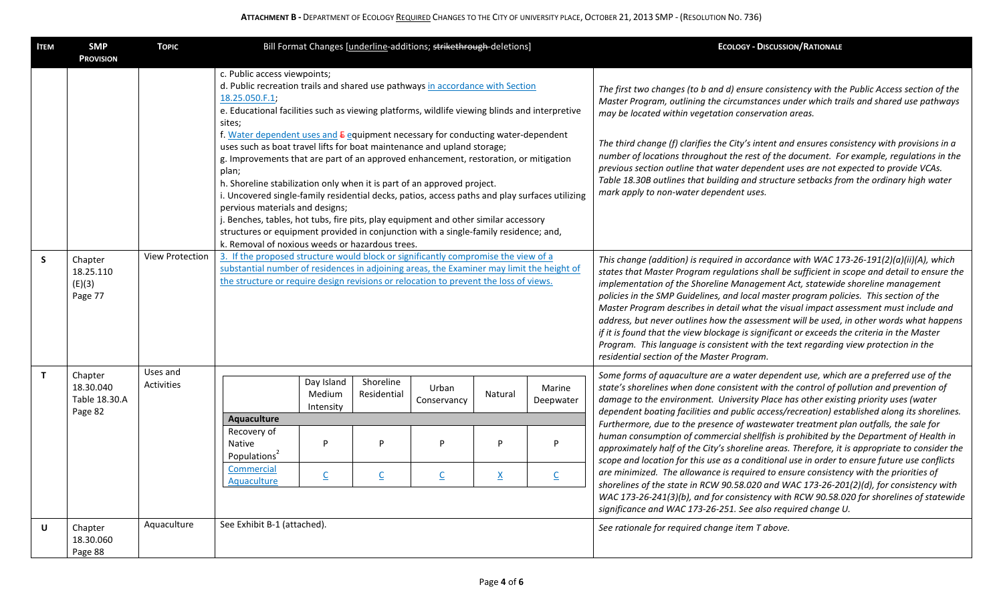| <b>ITEM</b>  | <b>SMP</b><br><b>PROVISION</b>                   | <b>TOPIC</b>           | Bill Format Changes [underline-additions; strikethrough-deletions]                                                                                                                                                                                                                                                                                                                                                                                                                                                                                                                                                                                          |                                   |                          |                          |                 |                          | <b>ECOLOGY - DISCUSSION/RATIONALE</b>                                                                                                                                                                                                                                                                                                                                                                                                                                                                                                                                                                                                                                                                                                                                                        |
|--------------|--------------------------------------------------|------------------------|-------------------------------------------------------------------------------------------------------------------------------------------------------------------------------------------------------------------------------------------------------------------------------------------------------------------------------------------------------------------------------------------------------------------------------------------------------------------------------------------------------------------------------------------------------------------------------------------------------------------------------------------------------------|-----------------------------------|--------------------------|--------------------------|-----------------|--------------------------|----------------------------------------------------------------------------------------------------------------------------------------------------------------------------------------------------------------------------------------------------------------------------------------------------------------------------------------------------------------------------------------------------------------------------------------------------------------------------------------------------------------------------------------------------------------------------------------------------------------------------------------------------------------------------------------------------------------------------------------------------------------------------------------------|
|              |                                                  |                        | c. Public access viewpoints;<br>d. Public recreation trails and shared use pathways in accordance with Section<br>18.25.050.F.1;<br>e. Educational facilities such as viewing platforms, wildlife viewing blinds and interpretive<br>sites;                                                                                                                                                                                                                                                                                                                                                                                                                 |                                   |                          |                          |                 |                          | The first two changes (to b and d) ensure consistency with the Public Access section of the<br>Master Program, outlining the circumstances under which trails and shared use pathways<br>may be located within vegetation conservation areas.                                                                                                                                                                                                                                                                                                                                                                                                                                                                                                                                                |
|              |                                                  |                        | f. Water dependent uses and E equipment necessary for conducting water-dependent<br>uses such as boat travel lifts for boat maintenance and upland storage;<br>g. Improvements that are part of an approved enhancement, restoration, or mitigation<br>plan;<br>h. Shoreline stabilization only when it is part of an approved project.<br>i. Uncovered single-family residential decks, patios, access paths and play surfaces utilizing<br>pervious materials and designs;<br>j. Benches, tables, hot tubs, fire pits, play equipment and other similar accessory<br>structures or equipment provided in conjunction with a single-family residence; and, |                                   |                          |                          |                 |                          | The third change (f) clarifies the City's intent and ensures consistency with provisions in a<br>number of locations throughout the rest of the document. For example, regulations in the<br>previous section outline that water dependent uses are not expected to provide VCAs.<br>Table 18.30B outlines that building and structure setbacks from the ordinary high water<br>mark apply to non-water dependent uses.                                                                                                                                                                                                                                                                                                                                                                      |
| $\mathsf{S}$ | Chapter<br>18.25.110<br>(E)(3)<br>Page 77        | <b>View Protection</b> | k. Removal of noxious weeds or hazardous trees.<br>3. If the proposed structure would block or significantly compromise the view of a<br>substantial number of residences in adjoining areas, the Examiner may limit the height of<br>the structure or require design revisions or relocation to prevent the loss of views.                                                                                                                                                                                                                                                                                                                                 |                                   |                          |                          |                 |                          | This change (addition) is required in accordance with WAC 173-26-191(2)(a)(ii)(A), which<br>states that Master Program regulations shall be sufficient in scope and detail to ensure the<br>implementation of the Shoreline Management Act, statewide shoreline management<br>policies in the SMP Guidelines, and local master program policies. This section of the<br>Master Program describes in detail what the visual impact assessment must include and<br>address, but never outlines how the assessment will be used, in other words what happens<br>if it is found that the view blockage is significant or exceeds the criteria in the Master<br>Program. This language is consistent with the text regarding view protection in the<br>residential section of the Master Program. |
| $\mathbf{T}$ | Chapter<br>18.30.040<br>Table 18.30.A<br>Page 82 | Uses and<br>Activities |                                                                                                                                                                                                                                                                                                                                                                                                                                                                                                                                                                                                                                                             | Day Island<br>Medium<br>Intensity | Shoreline<br>Residential | Urban<br>Conservancy     | Natural         | Marine<br>Deepwater      | Some forms of aquaculture are a water dependent use, which are a preferred use of the<br>state's shorelines when done consistent with the control of pollution and prevention of<br>damage to the environment. University Place has other existing priority uses (water                                                                                                                                                                                                                                                                                                                                                                                                                                                                                                                      |
|              |                                                  |                        | Aquaculture<br>Recovery of<br>Native<br>Populations <sup>2</sup>                                                                                                                                                                                                                                                                                                                                                                                                                                                                                                                                                                                            | P                                 | P                        | P                        | P               | P                        | dependent boating facilities and public access/recreation) established along its shorelines.<br>Furthermore, due to the presence of wastewater treatment plan outfalls, the sale for<br>human consumption of commercial shellfish is prohibited by the Department of Health in<br>approximately half of the City's shoreline areas. Therefore, it is appropriate to consider the<br>scope and location for this use as a conditional use in order to ensure future use conflicts                                                                                                                                                                                                                                                                                                             |
|              |                                                  |                        | Commercial<br>Aquaculture                                                                                                                                                                                                                                                                                                                                                                                                                                                                                                                                                                                                                                   | $\overline{C}$                    | $\underline{\mathsf{C}}$ | $\underline{\mathsf{C}}$ | $\underline{X}$ | $\underline{\mathsf{C}}$ | are minimized. The allowance is required to ensure consistency with the priorities of<br>shorelines of the state in RCW 90.58.020 and WAC 173-26-201(2)(d), for consistency with<br>WAC 173-26-241(3)(b), and for consistency with RCW 90.58.020 for shorelines of statewide<br>significance and WAC 173-26-251. See also required change U.                                                                                                                                                                                                                                                                                                                                                                                                                                                 |
| U            | Chapter<br>18.30.060<br>Page 88                  | Aquaculture            | See Exhibit B-1 (attached).                                                                                                                                                                                                                                                                                                                                                                                                                                                                                                                                                                                                                                 |                                   |                          |                          |                 |                          | See rationale for required change item T above.                                                                                                                                                                                                                                                                                                                                                                                                                                                                                                                                                                                                                                                                                                                                              |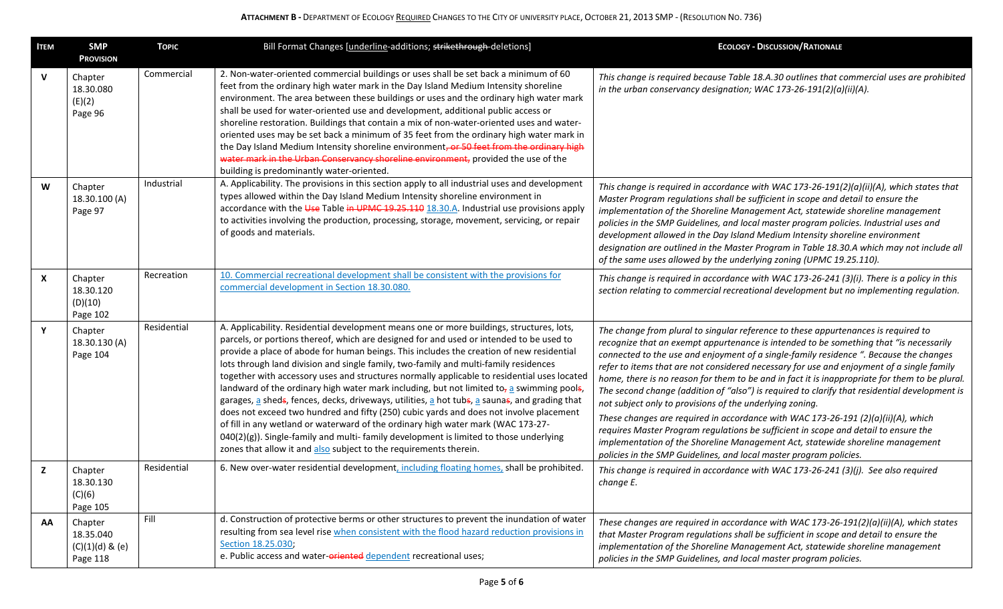| Ітем         | <b>SMP</b><br><b>PROVISION</b>                          | <b>TOPIC</b> | Bill Format Changes [underline-additions; strikethrough-deletions]                                                                                                                                                                                                                                                                                                                                                                                                                                                                                                                                                                                                                                                                                                                                                                                                                                                                                                                                                           | <b>ECOLOGY - DISCUSSION/RATIONALE</b>                                                                                                                                                                                                                                                                                                                                                                                                                                                                                                                                                                                                                                                                                                                                                                                                                                                                                                                                  |  |  |
|--------------|---------------------------------------------------------|--------------|------------------------------------------------------------------------------------------------------------------------------------------------------------------------------------------------------------------------------------------------------------------------------------------------------------------------------------------------------------------------------------------------------------------------------------------------------------------------------------------------------------------------------------------------------------------------------------------------------------------------------------------------------------------------------------------------------------------------------------------------------------------------------------------------------------------------------------------------------------------------------------------------------------------------------------------------------------------------------------------------------------------------------|------------------------------------------------------------------------------------------------------------------------------------------------------------------------------------------------------------------------------------------------------------------------------------------------------------------------------------------------------------------------------------------------------------------------------------------------------------------------------------------------------------------------------------------------------------------------------------------------------------------------------------------------------------------------------------------------------------------------------------------------------------------------------------------------------------------------------------------------------------------------------------------------------------------------------------------------------------------------|--|--|
| $\mathsf{v}$ | Chapter<br>18.30.080<br>(E)(2)<br>Page 96               | Commercial   | 2. Non-water-oriented commercial buildings or uses shall be set back a minimum of 60<br>feet from the ordinary high water mark in the Day Island Medium Intensity shoreline<br>environment. The area between these buildings or uses and the ordinary high water mark<br>shall be used for water-oriented use and development, additional public access or<br>shoreline restoration. Buildings that contain a mix of non-water-oriented uses and water-<br>oriented uses may be set back a minimum of 35 feet from the ordinary high water mark in<br>the Day Island Medium Intensity shoreline environment, or 50 feet from the ordinary high<br>water mark in the Urban Conservancy shoreline environment, provided the use of the<br>building is predominantly water-oriented.                                                                                                                                                                                                                                            | This change is required because Table 18.A.30 outlines that commercial uses are prohibited<br>in the urban conservancy designation; WAC 173-26-191(2)(a)(ii)(A).                                                                                                                                                                                                                                                                                                                                                                                                                                                                                                                                                                                                                                                                                                                                                                                                       |  |  |
| W            | Chapter<br>18.30.100 (A)<br>Page 97                     | Industrial   | A. Applicability. The provisions in this section apply to all industrial uses and development<br>types allowed within the Day Island Medium Intensity shoreline environment in<br>accordance with the Use Table in UPMC 19.25.110 18.30.A. Industrial use provisions apply<br>to activities involving the production, processing, storage, movement, servicing, or repair<br>of goods and materials.                                                                                                                                                                                                                                                                                                                                                                                                                                                                                                                                                                                                                         | This change is required in accordance with WAC 173-26-191(2)(a)(ii)(A), which states that<br>Master Program regulations shall be sufficient in scope and detail to ensure the<br>implementation of the Shoreline Management Act, statewide shoreline management<br>policies in the SMP Guidelines, and local master program policies. Industrial uses and<br>development allowed in the Day Island Medium Intensity shoreline environment<br>designation are outlined in the Master Program in Table 18.30.A which may not include all<br>of the same uses allowed by the underlying zoning (UPMC 19.25.110).                                                                                                                                                                                                                                                                                                                                                          |  |  |
| X            | Chapter<br>18.30.120<br>(D)(10)<br>Page 102             | Recreation   | 10. Commercial recreational development shall be consistent with the provisions for<br>commercial development in Section 18.30.080.                                                                                                                                                                                                                                                                                                                                                                                                                                                                                                                                                                                                                                                                                                                                                                                                                                                                                          | This change is required in accordance with WAC 173-26-241 (3)(i). There is a policy in this<br>section relating to commercial recreational development but no implementing regulation.                                                                                                                                                                                                                                                                                                                                                                                                                                                                                                                                                                                                                                                                                                                                                                                 |  |  |
| Y            | Chapter<br>18.30.130 (A)<br>Page 104                    | Residential  | A. Applicability. Residential development means one or more buildings, structures, lots,<br>parcels, or portions thereof, which are designed for and used or intended to be used to<br>provide a place of abode for human beings. This includes the creation of new residential<br>lots through land division and single family, two-family and multi-family residences<br>together with accessory uses and structures normally applicable to residential uses located<br>landward of the ordinary high water mark including, but not limited to <sub>7</sub> a swimming pools,<br>garages, a sheds, fences, decks, driveways, utilities, a hot tubs, a saunas, and grading that<br>does not exceed two hundred and fifty (250) cubic yards and does not involve placement<br>of fill in any wetland or waterward of the ordinary high water mark (WAC 173-27-<br>040(2)(g)). Single-family and multi-family development is limited to those underlying<br>zones that allow it and also subject to the requirements therein. | The change from plural to singular reference to these appurtenances is required to<br>recognize that an exempt appurtenance is intended to be something that "is necessarily<br>connected to the use and enjoyment of a single-family residence ". Because the changes<br>refer to items that are not considered necessary for use and enjoyment of a single family<br>home, there is no reason for them to be and in fact it is inappropriate for them to be plural.<br>The second change (addition of "also") is required to clarify that residential development is<br>not subject only to provisions of the underlying zoning.<br>These changes are required in accordance with WAC 173-26-191 (2)(a)(ii)(A), which<br>requires Master Program regulations be sufficient in scope and detail to ensure the<br>implementation of the Shoreline Management Act, statewide shoreline management<br>policies in the SMP Guidelines, and local master program policies. |  |  |
| z            | Chapter<br>18.30.130<br>(C)(6)<br>Page 105              | Residential  | 6. New over-water residential development, including floating homes, shall be prohibited.                                                                                                                                                                                                                                                                                                                                                                                                                                                                                                                                                                                                                                                                                                                                                                                                                                                                                                                                    | This change is required in accordance with WAC 173-26-241 (3)(j). See also required<br>change E.                                                                                                                                                                                                                                                                                                                                                                                                                                                                                                                                                                                                                                                                                                                                                                                                                                                                       |  |  |
| <b>AA</b>    | Chapter<br>18.35.040<br>$(C)(1)(d)$ & $(e)$<br>Page 118 | Fill         | d. Construction of protective berms or other structures to prevent the inundation of water<br>resulting from sea level rise when consistent with the flood hazard reduction provisions in<br>Section 18.25.030;<br>e. Public access and water-oriented dependent recreational uses;                                                                                                                                                                                                                                                                                                                                                                                                                                                                                                                                                                                                                                                                                                                                          | These changes are required in accordance with WAC 173-26-191(2)(a)(ii)(A), which states<br>that Master Program regulations shall be sufficient in scope and detail to ensure the<br>implementation of the Shoreline Management Act, statewide shoreline management<br>policies in the SMP Guidelines, and local master program policies.                                                                                                                                                                                                                                                                                                                                                                                                                                                                                                                                                                                                                               |  |  |